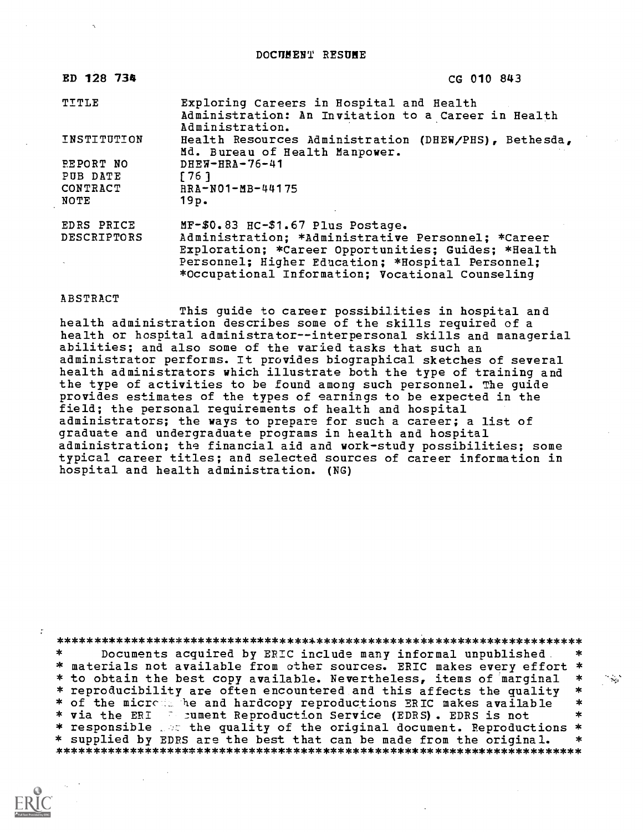DOCUMENT RESUME

| ED 128 734       | CG 010 843                                                                                                         |
|------------------|--------------------------------------------------------------------------------------------------------------------|
| TITLE            | Exploring Careers in Hospital and Health<br>Administration: An Invitation to a Career in Health<br>Administration. |
| INSTITUTION      | Health Resources Administration (DHEW/PHS), Bethesda,<br>Md. Bureau of Health Manpower.                            |
| <b>PEPORT NO</b> | $DHEW-HRA-76-41$                                                                                                   |
| PUB DATE         | 1761                                                                                                               |
| CONTRACT         | $RRA - N01 - MB - 44175$                                                                                           |
| NOTE             | 19p.                                                                                                               |
| EDRS PRICE       | MF-\$0.83 HC-\$1.67 Plus Postage.                                                                                  |
| DESCRIPTORS      | Administration; *Administrative Personnel; *Career                                                                 |
|                  | Exploration; *Career Opportunities; Guides; *Health                                                                |
|                  | Personnel; Higher Education; *Hospital Personnel;                                                                  |
|                  | *Occupational Information; Vocational Counseling                                                                   |

### ABSTRACT

This guide to career possibilities in hospital and health administration describes some of the skills required of a health or hospital administrator--interpersonal skills and managerial abilities; and also some of the varied tasks that such an administrator performs. It provides biographical sketches of several health administrators which illustrate both the type of training and the type of activities to be found among such personnel. The guide provides estimates of the types of earnings to be expected in the field; the personal requirements of health and hospital administrators; the ways to prepare for such a career; a list of graduate and undergraduate programs in health and hospital administration; the financial aid and work-study possibilities; some typical career titles; and selected sources of career information in hospital and health administration. (NG)

\*\*\*\*\*\*\*\*\*\*\*\*\*\*\*\*\*\*\*\*\*\*\*\*\*\*\*\*\*\*\*\*\*\*\*\*\*\*\*\*\*\*\*\*\*\*\*\*\*\*\*\*\*\*\*\*\*\*\*\*\*\*\*\*\*\*\*\*\*\*\* Documents acquired by ERIC include many informal unpublished \* materials not available from other sources. ERIC makes every effort \* \* to obtain the best copy available. Nevertheless, items of marginal \*<br>\* reproducibility are often encountered and this affects the quality \*<br>\* of the micress he and hardcopy reproductions ERIC makes available \* \* via the ERI : cument Reproduction Service (EDRS). EDRS is not  $\quad$  \* \* responsible , at the quality of the original document. Reproductions \* \* supplied by EDRS are the best that can be made from the original. \*\*\*\*\*\*\*\*\*\*\*\*\*\*\*\*\*\*\*\*\*\*\*\*\*\*\*\*\*\*\*\*\*\*\*\*\*\*\*\*\*\*\*\*\*\*\*\*\*\*\*\*\*\*\*\*\*\*\*\*\*\*\*\*\*\*\*\*\*\*\*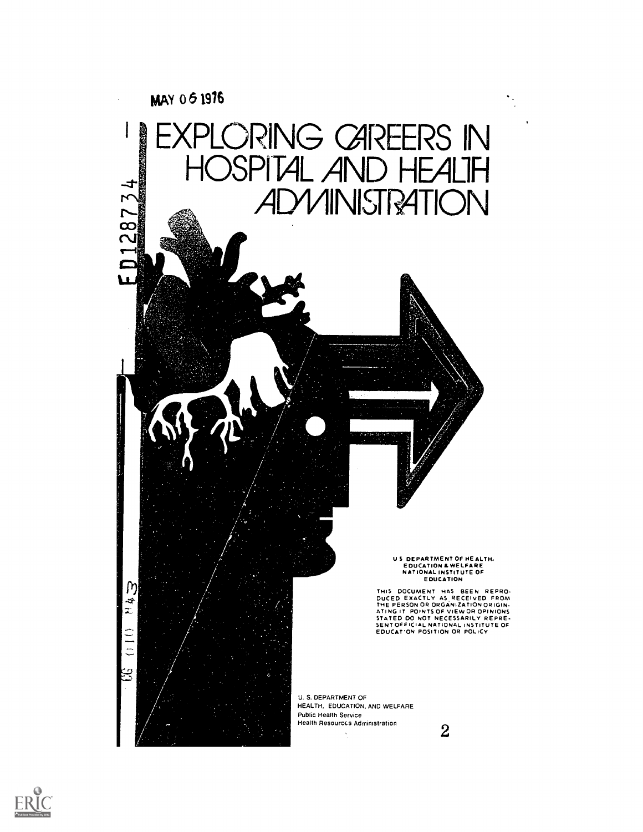

 $\hat{\boldsymbol{\gamma}}$ 



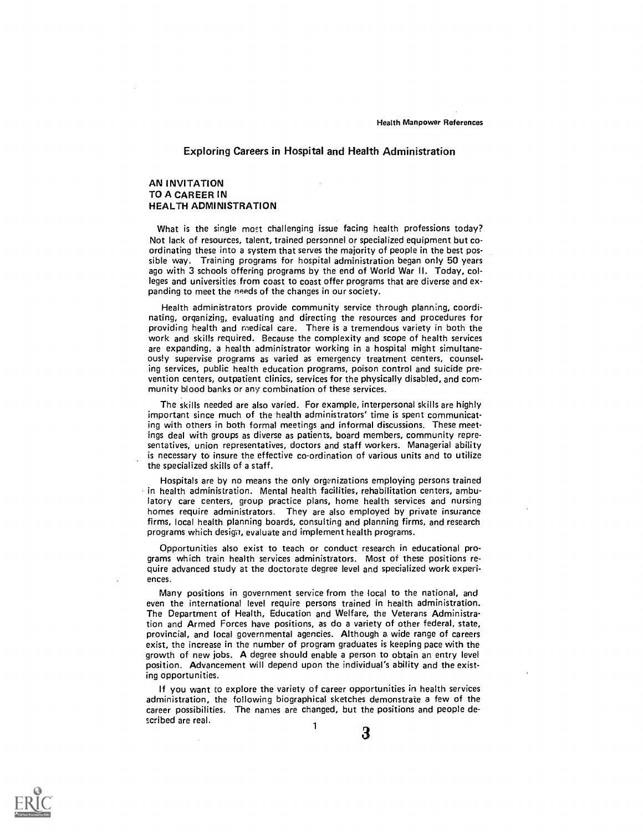## Exploring Careers in Hospital and Health Administration

### AN INVITATION TO A CAREER IN HEALTH ADMINISTRATION

 $\mathcal{L}$ 

What is the single most challenging issue facing health professions today? Not lack of resources, talent, trained personnel or specialized equipment but coordinating these into a system that serves the majority of people in the best possible way. Training programs for hospital administration began only 50 years ago with 3 schools offering programs by the end of World War II. Today, colleges and universities from coast to coast offer programs that are diverse and expanding to meet the needs of the changes in our society.

Health administrators provide community service through planning, coordinating, organizing, evaluating and directing the resources and procedures for providing health and medical care. There is a tremendous variety in both the work and skills required. Because the complexity and scope of health services are expanding, a health administrator working in a hospital might simultaneously supervise programs as varied as emergency treatment centers, counseling services, public health education programs, poison control and suicide prevention centers, outpatient clinics, services for the physically disabled, and community blood banks or any combination of these services.

The skills needed are also varied. For example, interpersonal skills are highly important since much of the health administrators' time is spent communicating with others in both formal meetings and informal discussions. These meetings deal with groups as diverse as patients, board members, community representatives, union representatives, doctors and staff workers. Managerial ability is necessary to insure the effective co-ordination of various units and to utilize the specialized skills of a staff.

Hospitals are by no means the only organizations employing persons trained in health administration. Mental health facilities, rehabilitation centers, ambulatory care centers, group practice plans, home health services and nursing homes require administrators. They are also employed by private insurance firms, local health planning boards, consulting and planning firms, and research programs which desiga, evaluate and implement health programs.

Opportunities also exist to teach or conduct research in educational programs which train health services administrators. Most of these positions require advanced study at the doctorate degree level and specialized work experi ences.

Many positions in government service from the local to the national, and even the international level require persons trained in health administration. The Department of Health, Education and Welfare, the Veterans Administration and Armed Forces have positions, as do a variety of other federal, state, provincial, and local governmental agencies. Although a wide range of careers exist, the increase in the number of program graduates is keeping pace with the growth of new jobs. A degree should enable a person to obtain an entry level position. Advancement will depend upon the individual's ability and the existing opportunities.

If you want to explore the variety of career opportunities in health services administration, the following biographical sketches demonstrate a few of the career possibilities. The names are changed, but the positions and people described are real. 1

3

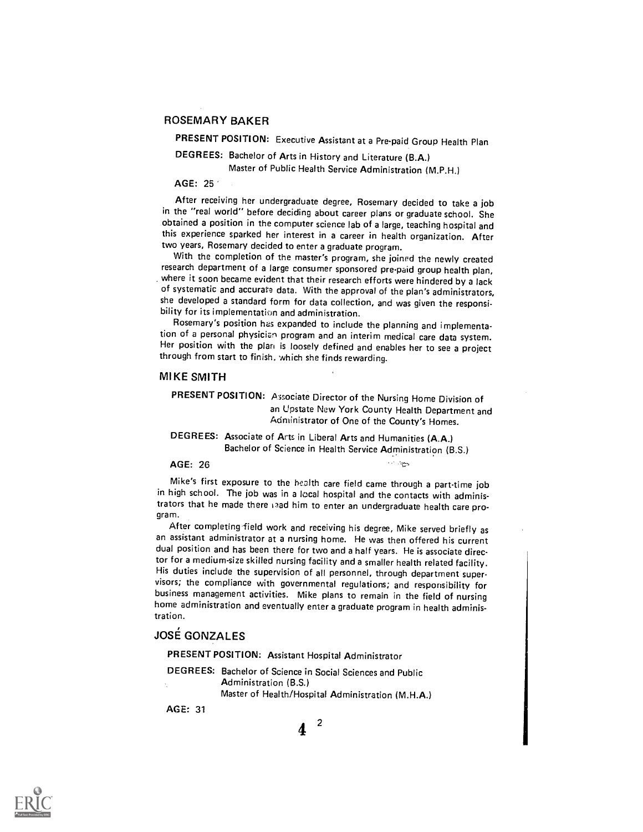## ROSEMARY BAKER

PRESENT POSITION: Executive Assistant at a Pre-paid Group Health Plan

DEGREES: Bachelor of Arts in History and Literature (B.A.) Master of Public Health Service Administration (M.P.H.)

#### AGE: 25

After receiving her undergraduate degree, Rosemary decided to take a job in the "real world" before deciding about career plans or graduate school. She obtained a position in the computer science lab of a large, teaching hospital and this experience sparked her interest in a career in health organization. After two years, Rosemary decided to enter a graduate program.

With the completion of the master's program, she joined the newly created<br>research department of a large consumer sponsored pre-paid group health plan, where it soon became evident that their research efforts were hindered by a lack of systematic and accurate data. With the approval of the plan's administrators, she developed a standard form for data collection, and was given the responsi- bility for its implementation and administration.

Rosemary's position hes expanded to include the planning and implementation of a personal physician program and an interim medical care data system. Her position with the plan is loosely defined and enables her to see a project through from start to finish, which she finds rewarding.

#### MIKE SMITH

PRESENT POSITION: Associate Director of the Nursing Home Division of an Upstate New York County Health Department and Administrator of One of the County's Homes.

DEGREES: Associate of Arts in Liberal Arts and Humanities (A.A.) Bachelor of Science in Health Service Administration (B.S.)

AGE: 26

Mike's first exposure to the health care field came through a part-time job in high school. The job was in a local hospital and the contacts with administrators that he made there isad him to enter an undergraduate health care program.

After completing field work and receiving his degree, Mike served briefly as an assistant administrator at a nursing home. He was then offered his current dual position and has been there for two and a half years. He is associate director for a medium-size skilled nursing facility and a smaller health related facility. His duties include the supervision of all personnel, through department super-<br>visors; the compliance with governmental regulations; and responsibility for business management activities. Mike plans to remain in the field of nursing home administration and eventually enter a graduate program in health administration.

# JOSE GONZALES

PRESENT POSITION: Assistant Hospital Administrator

- DEGREES: Bachelor of Science in Social Sciences and Public Administration (B.S.)
	- Master of Health/Hospital Administration (M.H.A.)

AGE: 31

 $4<sup>2</sup>$ 

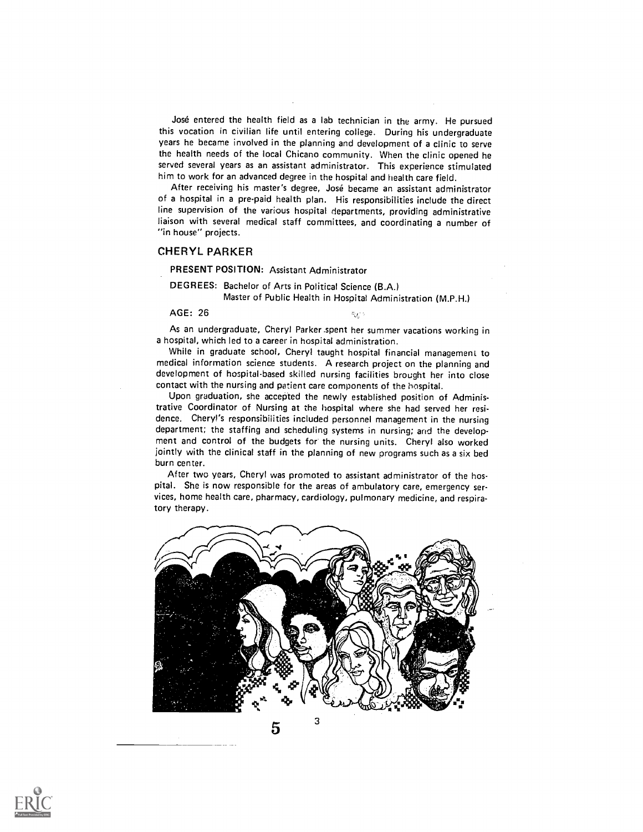José entered the health field as a lab technician in the army. He pursued this vocation in civilian life until entering college. During his undergraduate years he became involved in the planning and development of a clinic to serve the health needs of the local Chicano community. When the clinic opened he served several years as an assistant administrator. This experience stimulated him to work for an advanced degree in the hospital and health care field.

After receiving his master's degree, José became an assistant administrator of a hospital in a pre-paid health plan. His responsibilities include the direct line supervision of the various hospital departments, providing administrative liaison with several medical staff committees, and coordinating a number of "in house" projects.

#### CHERYL PARKER

PRESENT POSITION: Assistant Administrator

DEGREES: Bachelor of Arts in Political Science (B.A.) Master of Public Health in Hospital Administration (M.P.H.)

AGE: 26

ego.<br>Ma

As an undergraduate, Cheryl Parker .spent her summer vacations working in a hospital, which led to a career in hospital administration.

While in graduate school, Cheryl taught hospital financial management to medical information science students. A research project on the planning and development of hospital-based skilled nursing facilities brought her into close contact with the nursing and patient care components of the hospital.

Upon graduation, she accepted the newly established position of Administrative Coordinator of Nursing at the hospital where she had served her residence. Cheryl's responsibilities included personnel management in the nursing department; the staffing and scheduling systems in nursing; and the development and control of the budgets for the nursing units. Cheryl also worked jointly with the clinical staff in the planning of new programs such as a six bed burn center.

After two years, Cheryl was promoted to assistant administrator of the hospital. She is now responsible for the areas of ambulatory care, emergency services, home health care, pharmacy, cardiology, pulmonary medicine, and respiratory therapy.



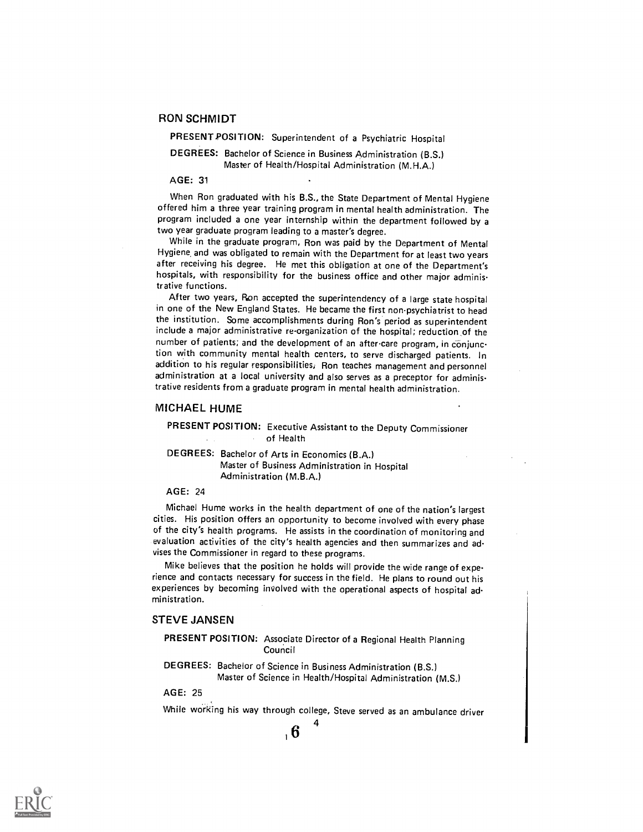## RON SCHMIDT

PRESENT POSITION: Superintendent of a Psychiatric Hospital

## DEGREES: Bachelor of Science in Business Administration (B.S.) Master of Health/Hospital Administration (M.H.A.)

#### AGE: 31

When Ron graduated with his B.S., the State Department of Mental Hygiene offered him a three year training program in mental health administration. The program included a one year internship within the department followed by a two year graduate program leading to a master's degree.

While in the graduate program, Ron was paid by the Department of Mental Hygiene, and was obligated to remain with the Department for at least two years after receiving his degree. He met this obligation at one of the Department's hospitals, with responsibility for the business office and other major administrative functions.

After two years, Ron accepted the superintendency of a large state hospital in one of the New England States. He became the first non-psychiatrist to head the institution. Some accomplishments during Ron's period as superintendent include a major administrative re-organization of the hospital; reduction \_of the number of patients; and the development of an after-care program, in conjunction with community mental health centers, to serve discharged patients. In addition to his regular responsibilities, Ron teaches management and personnel administration at a local university and also serves as a preceptor for administrative residents from a graduate program in mental health administration.

#### MICHAEL HUME

## PRESENT POSITION: Executive Assistant to the Deputy Commissioner of Health

DEGREES: Bachelor of Arts in Economics (B.A.) Master of Business Administration in Hospital Administration (M.B.A.)

### AGE: 24

Michael Hume works in the health department of one of the nation's largest cities. His position offers an opportunity to become involved with every phase of the city's health programs. He assists in the coordination of monitoring and evaluation activities of the city's health agencies and then summarizes and advises the Commissioner in regard to these programs.

Mike believes that the position he holds will provide the wide range of experience and contacts necessary for success in the field. He plans to round out his experiences by becoming involved with the operational aspects of hospital administration.

### STEVE JANSEN

PRESENT POSITION: Associate Director of a Regional Health Planning Council

DEGREES: Bachelor of Science in Business Administration (B.S.) Master of Science in Health/Hospital Administration (M.S.)

AGE: 25

While working his way through college, Steve served as an ambulance driver

4

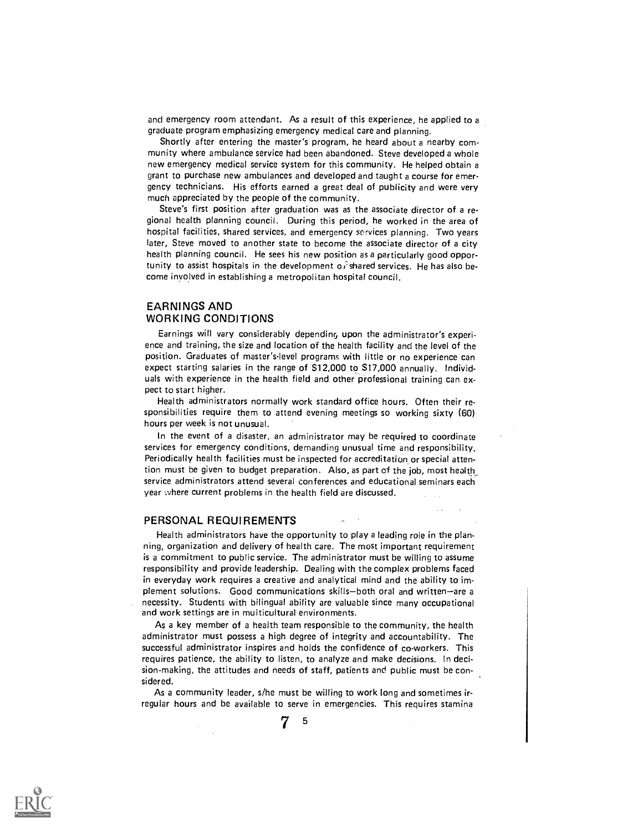and emergency room attendant. As a result of this experience, he applied to a graduate program emphasizing emergency medical care and planning.

Shortly after entering the master's program, he heard about a nearby community where ambulance service had been abandoned. Steve developed a whole new emergency medical service system for this community. He helped obtain a grant to purchase new ambulances and developed and taught a course for emergency technicians. His efforts earned a great deal of publicity and were very much appreciated by the people of the community.

Steve's first position after graduation was as the associate director of a regional health planning council. During this period, he worked in the area of hospital facilities, shared services, and emergency services planning. Two years later, Steve moved to another state to become the associate director of a city health planning council. He sees his new position as a particularly good opportunity to assist hospitals in the development of shared services. He has also become involved in establishing a metropolitan hospital council.

## EARNINGS AND WORKING CONDITIONS

Earnings will vary considerably depending upon the administrator's experience and training, the size and location of the health facility and the level of the position. Graduates of master's-level programs with little or no experience can expect starting salaries in the range of S12,000 to S17,000 annually. Individuals with experience in the health field and other professional training can expect to start higher.

Health administrators normally work standard office hours. Often their responsibilities require them to attend evening meetings so working sixty (60) hours per week is not unusual.

In the event of a disaster, an administrator may be required to coordinate services for emergency conditions, demanding unusual time and responsibility. Periodically health facilities must be inspected for accreditation or special attention must be given to budget preparation. Also, as part of the job, most health\_ service administrators attend several conferences and educational seminars each year where current problems in the health field are discussed.

### PERSONAL REQUIREMENTS

Health administrators have the opportunity to play a leading role in the planning, organization and delivery of health care. The most important requirement is a commitment to public service. The administrator must be willing to assume responsibility and provide leadership. Dealing with the complex problems faced in everyday work requires a creative and analytical mind and the ability to implement solutions. Good communications skills-both oral and written-are a necessity. Students with bilingual ability are valuable since many occupational and work settings are in multicultural environments.

As a key member of a health team responsible to the community, the health administrator must possess a high degree of integrity and accountability. The successful administrator inspires and holds the confidence of co-workers. This requires patience, the ability to listen, to analyze and make decisions. In decision-making, the attitudes and needs of staff, patients and public must be considered.

As a community leader, s/he must be willing to work long and sometimes irregular hours and be available to serve in emergencies. This requires stamina



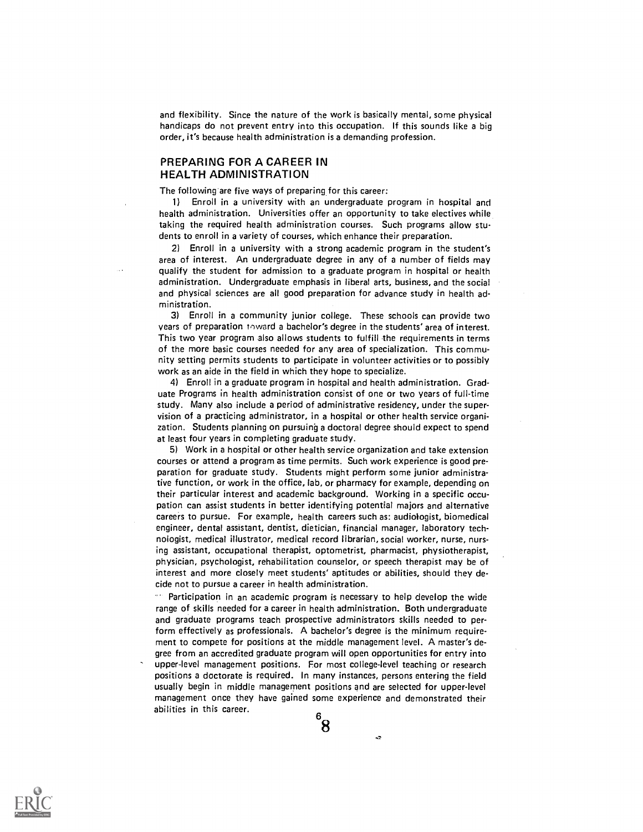and flexibility. Since the nature of the work is basically mental, some physical handicaps do not prevent entry into this occupation. If this sounds like a big order, it's because health administration is a demanding profession.

## PREPARING FOR A CAREER IN HEALTH ADMINISTRATION

The following are five ways of preparing for this career:

1) Enroll in a university with an undergraduate program in hospital and health administration. Universities offer an opportunity to take electives while taking the required health administration courses. Such programs allow students to enroll in a variety of courses, which enhance their preparation.

2) Enroll in a university with a strong academic program in the student's area of interest. An undergraduate degree in any of a number of fields may qualify the student for admission to a graduate program in hospital or health administration. Undergraduate emphasis in liberal arts, business, and the social and physical sciences are all good preparation for advance study in health administration.

3) Enroll in a community junior college. These schools can provide two Vears of preparation toward a bachelor's degree in the students' area of interest. This two year program also allows students to fulfill the requirements in terms of the more basic courses needed for any area of specialization. This community setting permits students to participate in volunteer activities or to possibly work as an aide in the field in which they hope to specialize.

4) Enroll in a graduate program in hospital and health administration. Graduate Programs in health administration consist of one or two years of full-time study. Many also include a period of administrative residency, under the supervision of a practicing administrator, in a hospital or other health service organization. Students planning on pursuing a doctoral degree should expect to spend at least four years in completing graduate study.

5) Work in a hospital or other health service organization and take extension courses or attend a program as time permits. Such work experience is good preparation for graduate study. Students might perform some junior administrative function, or work in the office, lab, or pharmacy for example, depending on their particular interest and academic background. Working in a specific occupation can assist students in better identifying potential majors and alternative careers to pursue. For example, health careers such as: audiologist, biomedical engineer, dental assistant, dentist, dietician, financial manager, laboratory technologist, medical illustrator, medical record librarian, social worker, nurse, nursing assistant, occupational therapist, optometrist, pharmacist, physiotherapist, physician, psychologist, rehabilitation counselor, or speech therapist may be of interest and more closely meet students' aptitudes or abilities, should they decide not to pursue a career in health administration.

Participation in an academic program is necessary to help develop the wide range of skills needed for a career in health administration. Both undergraduate and graduate programs teach prospective administrators skills needed to perform effectively as professionals. A bachelor's degree is the minimum requirement to compete for positions at the middle management level. A master's degree from an accredited graduate program wiH open opportunities for entry into upper-level management positions. For most college-level teaching or research positions a doctorate is required. In many instances, persons entering the field usually begin in middle management positions and are selected for upper-level management once they have gained some experience and demonstrated their abilities in this career.  $6_{\sim}$   $\sim$ 

8



àЭ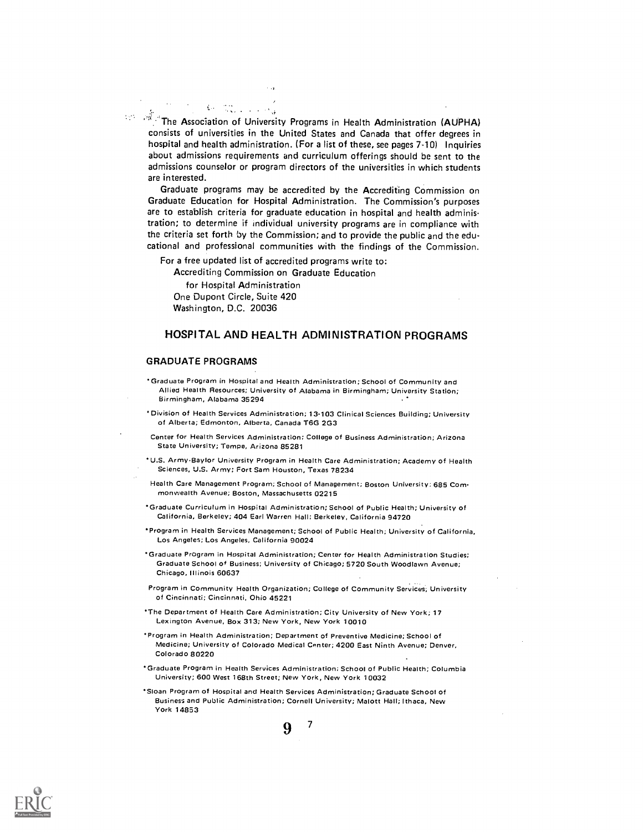$\mathbb{R}^d$ . The Association of University Programs in Health Administration (AUPHA) consists of universities in the United States and Canada that offer degrees in hospital and health administration. (For a list of these, see pages 7-10) Inquiries about admissions requirements and curriculum offerings should be sent to the admissions counselor or program directors of the universities in which students are interested.

Graduate programs may be accredited by the Accrediting Commission on Graduate Education for Hospital Administration. The Commission's purposes are to establish criteria for graduate education in hospital and health administration; to determine if individual university programs are in compliance with the criteria set forth by the Commission; and to provide the public and the educational and professional communities with the findings of the Commission.

For a free updated list of accredited programs write to:

Accrediting Commission on Graduate Education

for Hospital Administration One Dupont Circle, Suite 420 Washington, D.C. 20036

## HOSPITAL AND HEALTH ADMINISTRATION PROGRAMS

#### GRADUATE PROGRAMS

- 'Graduate Program in Hospital and Health Administration; School of Community and Allied Health Resources; University of Alabama in Birmingham; University Station; Birmingham, Alabama 35294 ,
- Division of Health Services Administration; 13-103 Clinical Sciences Building; University of Alberta; Edmonton, Alberta, Canada T6G 2G3
- Center for Health Services Administration; College of Business Administration; Arizona State University; Tempe, Arizona 85281
- 'U.S. Army-Baylor University Program in Health Care Administration; Academy of Health Sciences, U.S. Army; Fort Sam Houston, Texas 78234
- Health Care Management Program; School of Management; Boston University; 685 Com monwealth Avenue; Boston, Massachusetts 02215
- 'Graduate Curriculum in Hospital Administration; School of Public Health; University of California. Berkeley; 404 Earl Warren Hall; Berkeley, California 94720
- 'Program in Health Services Management; School of Public Health; University of California, Los Angete5; Los Angeles, California 90024
- \*Graduate Program in Hospital Administration; Center for Health Administration Studies; Graduate School of Business; University of Chicago; 5720 South Woodlawn Avenue; Chicago, Illinois 60637
- Program in Community Health Organization; College of Community Services; University of Cincinnati; Cincinnati, Ohio 45221
- 'The Department of Health Care Administration; City University of New York; 17 Lexington Avenue, Box 313; New York, New York 10010
- 'Program in Health Administration; Department of Preventive Medicine; School of Medicine; University of Colorado Medical Canter; 4200 East Ninth Avenue; Denver, Colorado 80220
- 'Graduate Program in Health Services Administration; School of Public Health; Columbia University; 600 West 168th Street; New York, New York 10032

 $9$  7

'Sloan Program of Hospital and Health Services Administration; Graduate School of Business and Public Administration; Cornell University; Malott Hall; Ithaca, New York 14853

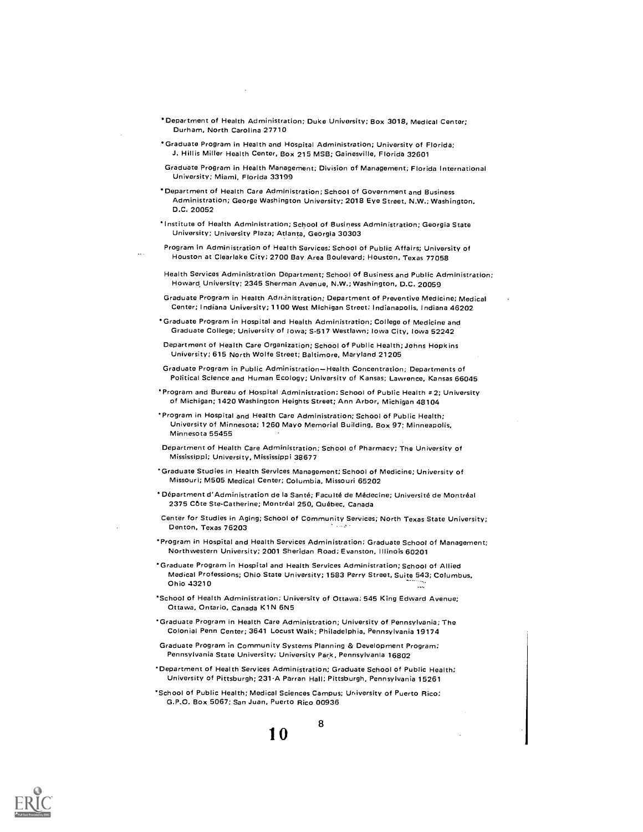- Department of Health Administration; Duke University; Box 3018, Medical Center; Durham, North Carolina 27710
- Graduate Program in Health and Hospital Administration; University of Florida; J. Hillis Miller Health Center, Box 215 MSB; Gainesville, Florida 32601
- Graduate Program in Health Management; Division of Management; Florida International University; Miami, Florida 33199
- Department of Health Care Administration; School of Government and Business Administration; George Washington University; 2018 Eye Street, N.W.; Washington, D.C. 20052
- ' Institute of Hoalth Administration; School of Business Administration; Georgia State University; University Plaza; Atlanta, Georgia 30303
- Program in Administration of Health Services; School of Public Affairs; University of Houston at Clearlake City; 2700 Bay Area Boulevard; Houston, Texas 77058
- Health Services Administration Department; School of Business and Public Administration; Howard University; 2345 Sherman Avenue, N.W.; Washington, D.C. 20059
- Graduate Program in Health Adn,inistration; Department of Preventive Medicine; Medical Center; Indiana University; 1100 West Michigan Street; Indianapolis, Indiana 46202
- ' Graduate Program in Hospital and Health Administration; College of Medicine and Graduate College; University of Iowa; S-517 West lawn; Iowa City, Iowa 52242
- Department of Health Care Organization; School of Public Health; Johns Hopk ins University; 615 North Wolfe Street; Baltimore, Maryland 21205
- Graduate Program in Public Administration-Health Concentration; Departments of Political Science and Human Ecology; University of Kansas; Lawrence, Kansas 66045
- 'Program and Bureau of Hospital Administration; School of Public Health # 2; University of Michigan; 1420 Washington Heights Street; Ann Arbor, Michigan 48104
- ' Program in Hospital and Health Care Administration; School of Public Health; University of Minnesota; 1260 Mayo Memorial Building, Box 97; Minneapolis, Minnesota 55455
- Department of Health Care Administration; School of Pharmacy; The University of Mississippi; University, Mississippi 38677
- ' Graduate Studies in Health Services Management; School of Medicine; University of Missouri; M505 Medical Center; Columbia, Missouri 65202
- Department d'Administration de la Sante; Faculté de Médecine; Universite de Montreal 2375 Côte Ste-Catherine; Montréal 250, Québec, Canada
- Center for Studies in Aging; School of Community Services; North Texas State University;<br>Denton, Texas 76203
- Program in Hospital and Health Services Administration; Graduate School of Management; Northwestern University; 2001 Sheridan Road; Evanston, Illinois 60201
- ' Graduate Program in Hospital and Health Services Administration; School of Allied Medical Professions; Ohio State University; 1583 Perry Street, Suite 543; Columbus, Ohio 43210
- ' School of Health Administration: University of Ottawa; 545 King Edward Avenue; Ottawa, Ontario, Canada K1N 6N5
- ' Graduate Program in Health Care Administration; University of Pennsylvania; The Colonial Penn Center; 3641 Locust Walk; Philadelphia, Pennsylvania 19174
- Graduate Program in Community Systems Planning & Development Program; Pennsylvania State University; University Park, Pennsylvania 16802
- ' Department of Health Services Administration; Graduate School of Public Health; University of Pittsburgh; 231-A Parran Hall: Pittsburgh, Pennsylvania 15261

8

School of Public Health; Medical Sciences Campus; University of Puerto Rico; G.P.O. Box 5067; San Juan, Puerto Rico 00936

1 0

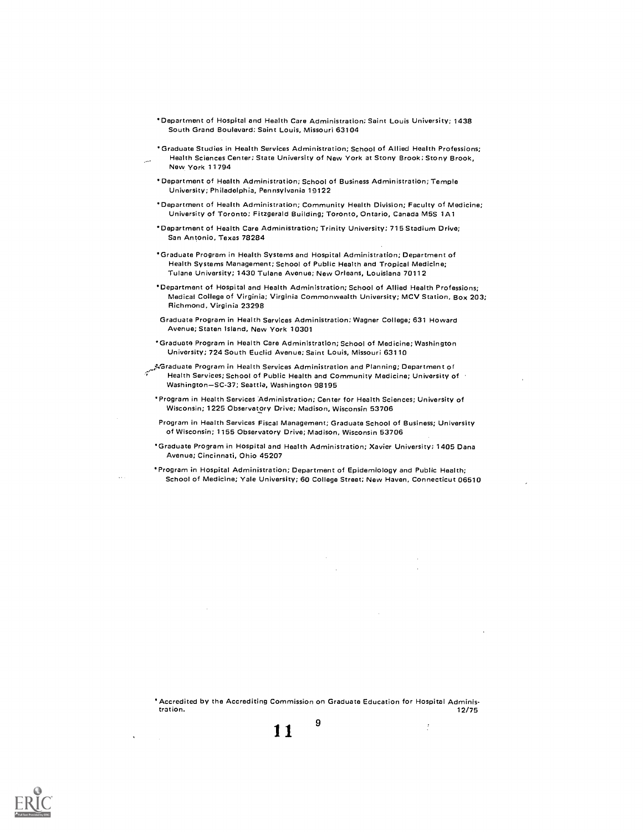- Department of Hospital and Health Cara Administration; Saint Louis University; 1438 South Grand Boulevard; Saint Louis, Missouri 63104
- Graduate Studios in Health Services Administration; School of Allied Health Professions; Health Sciences Center; State University of New York at Stony Brook; Stony Brook, New York 11794
- Department of Health Administration; School of Business Administration; Temple University; Philadelphia, Pennsylvania 19122
- Department of Health Administration; Community Health Division; Faculty of Medicine; University of Toronto; Fitzgerald Building; Toronto, Ontario, Canada M55 1A1
- Department of Health Care Administration; Trinity University; 715 Stadium Drive; San Antonio, Texas 78284
- Graduate Program in Health Systems and Hospital Administration; Department of Health Systems Management; School of Public Health and Tropical Medicine; Tulane University; 1430 Tulane Avenue; New Orleans, Louisiana 70112
- Department of Hospital and Health Administration; School of Allied Health Professions; Medical College of Virginia; Virginia Commonwealth University; MCV Station, Box 203; Richmond, Virginia 23298
- Graduate Program in Health Services Administration; Wagner College; 631 Howard Avenue; Staten Island, New York 10301
- 'Graduate Program in Health Care Administration; School of Medicine; Washington University; 724 South Euclid Avenue; Saint Louis, Missouri 63110
- ;/Oraduate Program in Health Services Administration and Planning; Department of Health Services; School of Public Health and Community Medicine; University of Washington-SC-37; Seattle, Washington 98195
	- 'Program in Health Services Administration; Center for Health Sciences; University of Wisconsin; 1225 Observatory Drive; Madison, Wisconsin 53706
	- Program in Health Services Fiscal Management; Graduate School of Business; University of Wisconsin; 1155 Observatory Drive; Madison, Wisconsin 53706
	- Graduate Program in Hospital and Health Administration; Xavier University; 1405 Dana Avenue; Cincinnati, Ohio 45207
	- Program in Hospital Administration; Department of Epidemiology and Public Health; School of Medicine; Yale University; 60 College Street; New Haven, Connecticut 06510

Accredited by the Accrediting Commission on Graduate Education for Hospital Administration. 12/75 g

 $\ddot{z}$ 

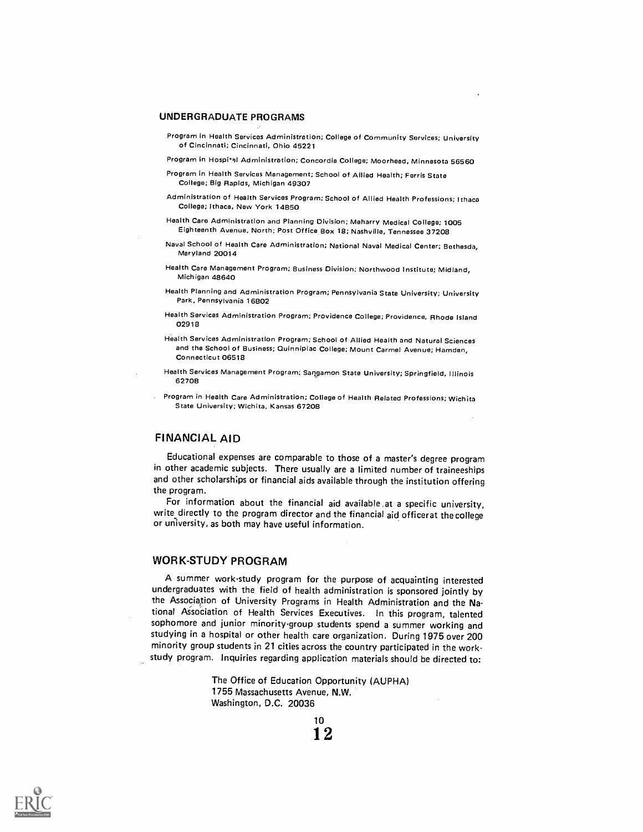### UNDERGRADUATE PROGRAMS

- Program In Health Services Administration; College of Community Services; University of Cincinnati; Cincinnati, Ohio 45221
- Program in Hospi\*al Administration; Concordia College; Moorhead, Minnesota 56560
- Program in Health Services Management; School of Allied Health; Ferris State College; Big Rapids, Michigan 49307
- Administration of Health Services Program; School of Allied Health Professions; Ithaca College; Ithaca, New York 14B50
- Health Care Administration and Planning Division; Meharry Medical College; 1005 Eighteenth Avenue, North; Post Office Box 18; Nashville, Tennessee 37208
- Naval School of Health Care Administration; National Naval Medical Center; Bethesda, Maryland 20014
- Health Care Management Program; Business Division; Northwood Institute; Midland, Michigan 48640
- Health Planning and Administration Program; Pennsylvania State University; University Park, Pennsylvania 16B02
- Health Services Administration Program; Providence College; Providence, Rhode Island 02918
- Health Services Administration Program; School of Allied Health and Natural Sciences and the School of Business; Quinnipiac College; Mount Carmel Avenue; Hamden, Connecticut 06518
- Health Services Management Program; Sangamon State University; Springfield, Illinois 62708
- Program in Health Care Administration; College of Health Related Professions; wichita State University; Wichita, Kansas 67208

### FINANCIAL AID

Educational expenses are comparable to those of a master's degree program in other academic subjects. There usually are a limited number of traineeships and other scholarships or financial aids available through the institution offering the program.

For information about the financial aid available ,at a specific university, write directly to the program director and the financial aid officerat the college or university, as both may have useful information.

## WORK-STUDY PROGRAM

A summer work-study program for the purpose of acquainting interested undergraduates with the field of health administration is sponsored jointly by the Association of University Programs in Health Administration and the National Aisociation of Health Services Executives. In this program, talented sophomore and junior minority-group students spend a summer working and studying in a hospital or other health care organization. During 1975 over 200 minority group students in 21 cities across the country participated in the workstudy program. Inquiries regarding application materials should be directed to:

> The Office of Education Opportunity (AUPHA) 1755 Massachusetts Avenue, N.W. Washington, D.C. 20036



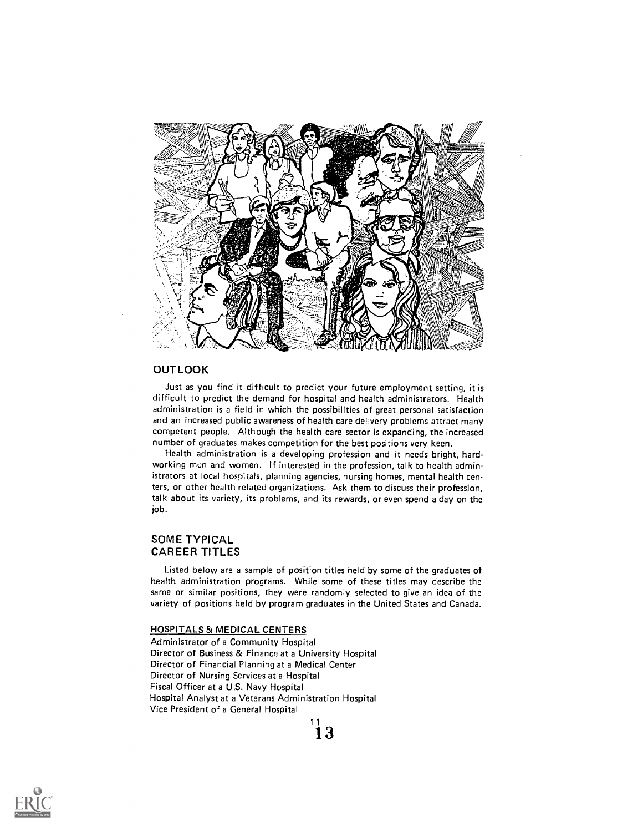

## **OUTLOOK**

Just as you find it difficult to predict your future employment setting, it is difficult to predict the demand for hospital and health administrators. Health administration is a field in which the possibilities of great personal satisfaction and an increased public awareness of health care delivery problems attract many competent people. Although the health care sector is expanding, the increased number of graduates makes competition for the best positions very keen.

Health administration is a developing profession and it needs bright, hardworking men and women. If interested in the profession, talk to health administrators at local hospitals, planning agencies, nursing homes, mental health centers, or other health related organizations. Ask them to discuss their profession, talk about its variety, its problems, and its rewards, or even spend a day on the job.

## SOME TYPICAL CAREER TITLES

Listed below are a sample of position titles held by some of the graduates of health administration programs. While some of these titles may describe the same or similar positions, they were randomly selected to give an idea of the variety of positions held by program graduates in the United States and Canada.

 $\overline{\mathbf{1}}$  3

## HOSPITALS & MEDICAL CENTERS

Administrator of a Community Hospital Director of Business & Finance at a University Hospital Director of Financial Planning at a Medical Center Director of Nursing Services at a Hospital Fiscal Officer at a U.S. Navy Hospital Hospital Analyst at a Veterans Administration Hospital Vice President of a General Hospital

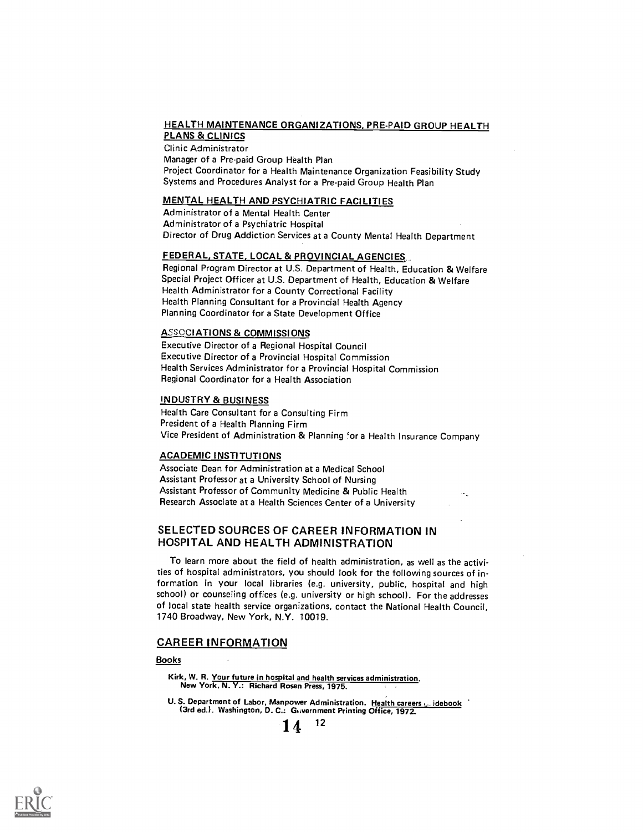#### HEALTH MAINTENANCE ORGANIZATIONS, PRE-PAID GROUP HEALTH PLANS & CLINICS

Clinic Administrator Manager of a Pre-paid Group Health Plan Project Coordinator for a Health Maintenance Organization Feasibility Study Systems and Procedures Analyst for a Pre-paid Group Health Plan

### MENTAL HEALTH AND PSYCHIATRIC FACILITIES

Administrator of a Mental Health Center Administrator of a Psychiatric Hospital Director of Drug Addiction Services at a County Mental Health Department

### FEDERAL, STATE, LOCAL & PROVINCIAL AGENCIES

Regional Program Director at U.S. Department of Health, Education & Welfare Special Project Officer at U.S. Department of Health, Education & Welfare Health Administrator for a County Correctional Facility Health Planning Consultant for a Provincial Health Agency Planning Coordinator for a State Development Office

### ASSOCIATIONS & COMMISSIONS

Executive Director of a Regional Hospital Council Executive Director of a Provincial Hospital Commission Health Services Administrator for a Provincial Hospital Commission Regional Coordinator for a Health Association

## INDUSTRY & BUSINESS

Health Care Consultant for a Consulting Firm President of a Health Planning Firm Vice President of Administration & Planning for a Health Insurance Company

### ACADEMIC INSTITUTIONS

Associate Dean for Administration at a Medical School Assistant Professor at a University School of Nursing Assistant Professor of Community Medicine & Public Health Research Associate at a Health Sciences Center of a University

## SELECTED SOURCES OF CAREER INFORMATION IN HOSPITAL AND HEALTH ADMINISTRATION

To learn more about the field of health administration, as well as the activities of hospital administrators, you should look for the following sources of information in your local libraries (e.g. university, public, hospital and high school) or counseling offices (e.g. university or high school). For the addresses of local state health service organizations, contact the National Health Council, 1740 Broadway, New York, N.Y. 10019.

## CAREER INFORMATION

## Books

Kirk, W. R. Your future in hospital and health services administration. New York, N. Y.: Richard Rosen Press, 1975.

U.S. Department of Labor, Manpower Administration. Health careers *galidebook* (3rd ed.). Washington, D. C.: Government Printing Office, 1972.

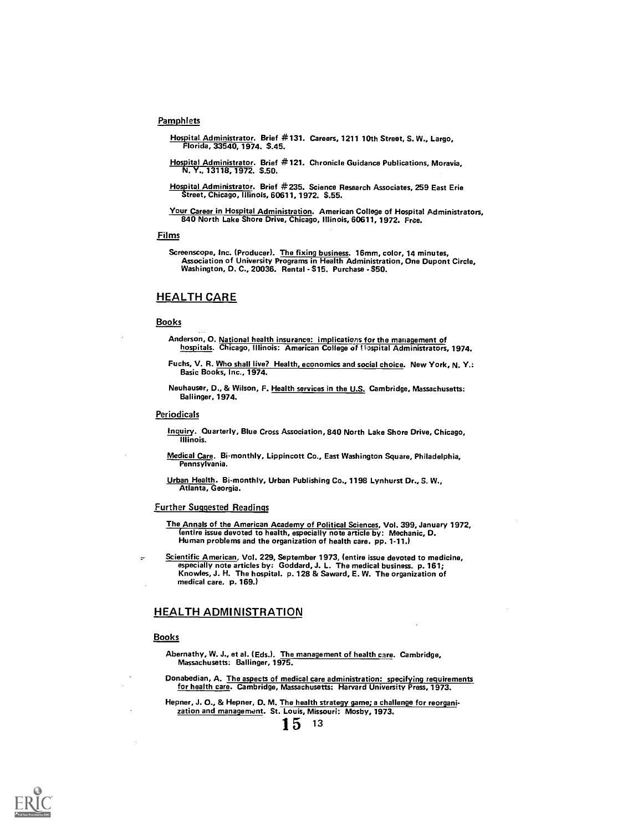### **Pamphlets**

- Hospital. Administrator. Brief #131. Careers, 1211 10th Street, S. W., Largo, Florida, 33540, 1974. \$.45.
- Hospital Administrator. Brief #121. Chronicle Guidance Publications, Moravia, N.Y., 13118, 1972. \$.50.
- Hospital Administrator. Brief #235. Science Research Associates, 259 East Erie Street, Chicago, Illinois, 60611, 1972. \$.55.
- Your Career in Hospital Administration. American College of Hospital Administrators, 840 North Lake Shore Drive, Chicago, Illinois, 60611, 1972. Free.

#### Films

Screenscope, Inc. (Producer). The fixing business. 16mm, color, 14 minutes, Association of University Programs in Health Administration, One Dupont Circle, Washington, D. C., 20036. Rental - \$15. Purchase - \$50.

#### HEALTH CARE

### Books

- Anderson, O. National health insurance: implications for the management of hospitals. Chicago, Illinois: American College of I saspital Administrators, 1974.
- Fuchs, V. R. Who shall live? Health, economics and social choice. New York, N. Y.: Basic Books, Inc., 1974.

Neuhauser, D., & Wilson, F. Health services in the U.S. Cambridge, Massachusetts: Ballinger, 1974.

#### **Periodicals**

- Inquiry. Quarterly, Blue Cross Association, 840 North Lake Shore Drive, Chicago, Illinois.
- Medical Care. 8i-monthly, Lippincott Co., East Washington Square, Philadelphia, Pennsylvania.

Urban Health. Bi-monthly, Urban Publishing Co., 1198 Lynhurst Dr., S. W., Atlanta, Georgia.

#### Further Suggested Readings

- The Annals of the American Academy of Political Sciences, Vol. 399, January 1972, (entire issue devoted to health, especially note article by: Mechanic, D. Human problems and the organization of health care. pp. 1-11.)
- Scientific American, Vol. 229, September 1973, (entire issue devoted to medicine, especially note articles by: Goddard, J. L. The medical business. p. 161; Knowles, J. H. The hospital. p. 128 & Saward, E. W. The organization of medical care. p. 169.)

### HEALTH ADMINISTRATION

#### **Books**

- Abernathy, W. J., et al. (Eds.). The management of health care. Cambridge, Massachusetts: Ballinger, 1975.
- Donabedian, A. The aspects of medical care administration: specifying requirements for health care. Cambridge, Massachusetts: Harvard University Press, 1973.
- Hepner, J. O., & Hepner, D. M. The health strategy game; a challenge for reorganization and management. St. Louis, Missouri: Mosby, 1973.

 $15^{13}$ 

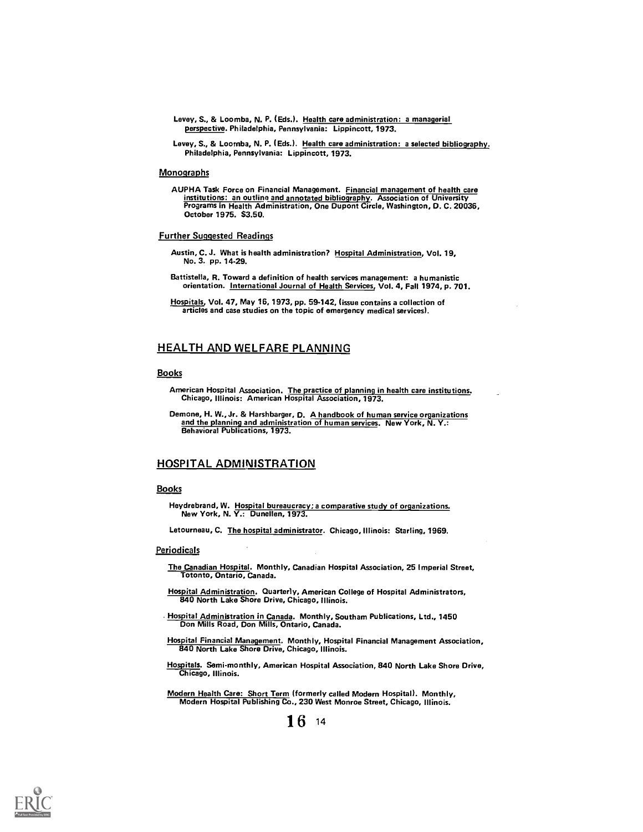- Levey, S., & Loomba, N. P. (Eds.). Health care administration: a managerial perspective. Philadelphia, Pennsylvania: Lippincott, 1973.
- Levey, S., & Loomba, N. P. (Eds.). Health care administration: a selected bibliography. Philadelphia, Pennsylvania: Lippincott, 1973.

#### **Monographs**

AUPHA Task Force on Financial Management. <u>Financial management of health care</u><br>institutions: an outline <u>and annotated bibliography</u>. Association of University<br>Programs in Health Administration, One Dupont Circle, Wash October 1975. \$3.50.

#### Further Suggested Readings

- Austin, C. J. What is health administration? Hospital Administration, Vol. 19, No. 3. pp. 1429.
- Battistella, R. Toward a definition of health services management: a humanistic orientation. International Journal of Health Services, Vol. 4, Fall 1974, p. 701.
- Hospitals, Vol. 47, May 16, 1973, pp. 59-142, (issue contains a collection of articles and case studies on the topic of emergency medical services).

## HEALTH AND WELFARE PLANNING

#### Books

- American Hospital Association. The practice of planning in health care institutions. Chicago, Illinois: American Hospital Association, 1973.
- Demone, H. W., Jr. & Harshbarger, D. A handbook of human service organizations and the planning and administration of human services. New York, N. Y.: Behavioral Publications, 1973.

### HOSPITAL ADMINISTRATION

#### **Books**

Heydrebrand, W. Hospital bureaucracy; a comparative study of organizations. New York, N. Y.: Dunellen, 1973.

Letourneau, C. The hospital administrator. Chicago, Illinois: Starling, 1969.

#### **Periodicals**

- The Canadian Hospital. Monthly, Canadian Hospital Association, 25 Imperial Street, Totonto, Ontario, Canada.
- Hospital Administration. Quarterly, American College of Hospital Administrators, 840 North Lake Shore Drive, Chicago, Illinois.
- Hospital Administration in Canada. Monthly, Southam Publications, Ltd., 1450<br>Don Mills Road, Don Mills, Ontario, Canada.
- Hospital Financial Management. Monthly, Hospital Financial Management Association, 840 North Lake Shore Drive, Chicago, Illinois.
- Hospitals. Semi-monthly, American Hospital Association, 840 North Lake Shore Drive, Chicago, Illinois.
- Modern Health Care: Short Term (formerly called Modern Hospital). Monthly, Modern Hospital Publishing Co., 230 West Monroe Street, Chicago, Illinois.

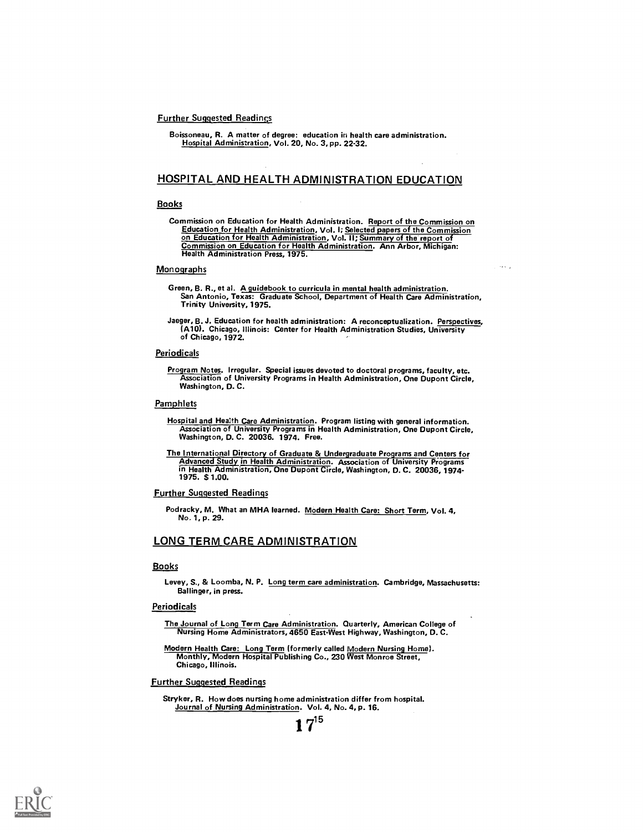#### **Further Suggested Readings**

Boissoneau, R. A matter of degree: education in health care administration. Hospital Administration, Vol. 20, No. 3, pp. 22-32.

## HOSPITAL AND HEALTH ADMINISTRATION EDUCATION

#### **Books**

Commission on Education for Health Administration. Report of the Commission on Education for Health Administration, Vol. I; <u>Selected papers of the Commission</u><br>on Education for Health Administration, Vol. II; Summary of the report of<br>Commission on Education for Health Administration. Ann Arbor, Mich Commission on Education for Health Administration. Ann Arbor, Michigan:<br>Health Administration Press, 1975.

#### **Monographs**

Green, B. R., et al. A guidebook to curricula in mental health administration. San Antonio, Texas: Graduate School, Department of Health Care Administration, Trinity University, 1975. te sing

Jaeger, B. J. Education for health administration: A reconceptualization. Perspectives, (A10). Chicago, Illinois: Center for Health Administration Studies, University of Chicago, 1972.

#### **Periodicals**

Program Notes. Irregular. Special issues devoted to doctoral programs, faculty, etc. Association of University Programs in Health Administration, One Dupont Circle, Washington, D. C.

#### **Pamphlets**

- Hospital and Health Care Administration. Program listing with general information. Association of University Programs in Health Administration, One Dupont Circle, Washington, D. C. 20036. 1974. Free.
- <u>The International Directory of Graduate & Undergraduate Programs and Centers for<br>Advanced Study in Health Administration. Association of University Programs<br>in Health Administration, One Dupont Circle, Washington, D. C. 2</u>

#### Further Suggested Readings

Podracky, M. What an MHA learned. Modern Health Care: Short Term, Vol. 4, No. 1, p. 29.

### LONG TERM CARE ADMINISTRATION

#### Books

Levey, S., & Loomba, N. P. Long term care administration. Cambridge, Massachusetts: Ballinger, in press.

#### **Periodicals**

The Journal of Long Term Care Administration. Quarterly, American College of Nursing Home Administrators, 4650 East-West Highway, Washington, D. C.

Modern Health Care: Long Term (formerly called Modern Nursing Home). Monthly, Modern Hospital Publishing Co., 230 West Monroe Street, Chicago, Illinois.

#### Further Suggested Readings

Stryker, R. How does nursing home administration differ from hospital. Journal of Nursing Administration. Vol. 4, No. 4, p. 16.

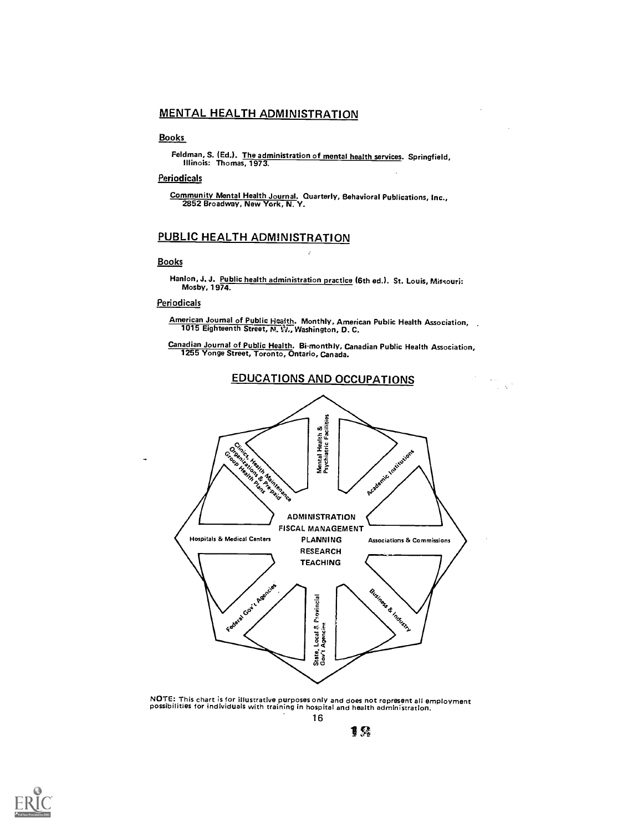# MENTAL HEALTH ADMINISTRATION

## **Books**

Feldman, S. (Ed.). The administration of mental health services. Springfield, Illinois: Thomas, 1973.

### **Periodicals**

Community Mental Health Journal. Quarterly, Behavioral Publications, Inc., 2852 Broadway, New York, N. Y.

# PUBLIC HEALTH ADMINISTRATION

#### Books

Hanlon, J. J. Public health administration practice (6th ed.). St. Louis, Missouri:<br>Mosby, 1974.

### Periodicals

American Journal of Public Health. Monthly, American Public Health Association, ...<br>1015 Eighteenth Street, N. W., Washington, D. C.

Canadian Journal of Public Health. Bi-monthly, Canadian Public Health Association, 1255 Yonge Street, Toronto, Ontario. Canada.

 $\frac{1}{2} \sum_{i=1}^{n} \frac{1}{2} \sum_{j=1}^{n} \frac{1}{2} \sum_{j=1}^{n} \frac{1}{2} \sum_{j=1}^{n} \frac{1}{2} \sum_{j=1}^{n} \frac{1}{2} \sum_{j=1}^{n} \frac{1}{2} \sum_{j=1}^{n} \frac{1}{2} \sum_{j=1}^{n} \frac{1}{2} \sum_{j=1}^{n} \frac{1}{2} \sum_{j=1}^{n} \frac{1}{2} \sum_{j=1}^{n} \frac{1}{2} \sum_{j=1}^{n} \frac{1}{2} \sum_{j=1}^{n$ 



NOTE: This chart is for illustrative purposes only and does not represent all employment possibilities for individuals with training in hospital and health administration. 16